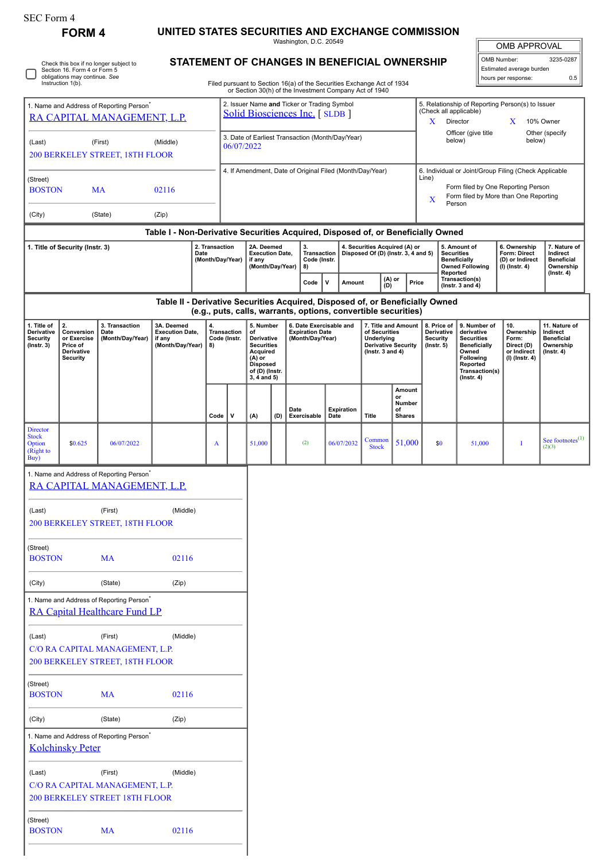| SEC Form 4 |  |
|------------|--|
|------------|--|

|                                                                                                                                                              | FORM 4                                                                       | Check this box if no longer subject to                                                | UNITED STATES SECURITIES AND EXCHANGE COMMISSION                                 |                                    |                                                                |                                                                                                                                        |                                                                                                                                         |          | Washington, D.C. 20549<br>STATEMENT OF CHANGES IN BENEFICIAL OWNERSHIP |             |      |                                                                      |                                                           |                                                                                                      |                                                                                                               |                                                                                    |                                                                  |                                                                                                                       |                                                            | <b>OMB APPROVAL</b><br>OMB Number:                                       | 3235-0287                                                                       |
|--------------------------------------------------------------------------------------------------------------------------------------------------------------|------------------------------------------------------------------------------|---------------------------------------------------------------------------------------|----------------------------------------------------------------------------------|------------------------------------|----------------------------------------------------------------|----------------------------------------------------------------------------------------------------------------------------------------|-----------------------------------------------------------------------------------------------------------------------------------------|----------|------------------------------------------------------------------------|-------------|------|----------------------------------------------------------------------|-----------------------------------------------------------|------------------------------------------------------------------------------------------------------|---------------------------------------------------------------------------------------------------------------|------------------------------------------------------------------------------------|------------------------------------------------------------------|-----------------------------------------------------------------------------------------------------------------------|------------------------------------------------------------|--------------------------------------------------------------------------|---------------------------------------------------------------------------------|
| Section 16. Form 4 or Form 5<br>obligations may continue. See<br>Instruction 1(b).<br>Filed pursuant to Section 16(a) of the Securities Exchange Act of 1934 |                                                                              |                                                                                       |                                                                                  |                                    |                                                                |                                                                                                                                        |                                                                                                                                         |          |                                                                        |             |      |                                                                      |                                                           |                                                                                                      |                                                                                                               | Estimated average burden<br>hours per response:                                    |                                                                  | 0.5                                                                                                                   |                                                            |                                                                          |                                                                                 |
| 1. Name and Address of Reporting Person <sup>®</sup><br>RA CAPITAL MANAGEMENT, L.P.                                                                          |                                                                              |                                                                                       |                                                                                  |                                    |                                                                | or Section 30(h) of the Investment Company Act of 1940<br>2. Issuer Name and Ticker or Trading Symbol<br>Solid Biosciences Inc. [SLDB] |                                                                                                                                         |          |                                                                        |             |      |                                                                      |                                                           |                                                                                                      | 5. Relationship of Reporting Person(s) to Issuer<br>(Check all applicable)<br>Director<br>X<br>X<br>10% Owner |                                                                                    |                                                                  |                                                                                                                       |                                                            |                                                                          |                                                                                 |
| (First)<br>(Middle)<br>(Last)                                                                                                                                |                                                                              |                                                                                       |                                                                                  |                                    | 3. Date of Earliest Transaction (Month/Day/Year)<br>06/07/2022 |                                                                                                                                        |                                                                                                                                         |          |                                                                        |             |      |                                                                      | Officer (give title<br>Other (specify<br>below)<br>below) |                                                                                                      |                                                                                                               |                                                                                    |                                                                  |                                                                                                                       |                                                            |                                                                          |                                                                                 |
| (Street)<br><b>BOSTON</b>                                                                                                                                    | 200 BERKELEY STREET, 18TH FLOOR<br>02116<br>MA                               |                                                                                       |                                                                                  |                                    |                                                                | 4. If Amendment, Date of Original Filed (Month/Day/Year)                                                                               |                                                                                                                                         |          |                                                                        |             |      |                                                                      |                                                           | 6. Individual or Joint/Group Filing (Check Applicable<br>Line)<br>Form filed by One Reporting Person |                                                                                                               |                                                                                    |                                                                  |                                                                                                                       |                                                            |                                                                          |                                                                                 |
| (City)                                                                                                                                                       |                                                                              | (State)                                                                               | (Zip)                                                                            |                                    |                                                                |                                                                                                                                        |                                                                                                                                         |          |                                                                        |             |      |                                                                      |                                                           |                                                                                                      |                                                                                                               | X<br>Person                                                                        |                                                                  |                                                                                                                       |                                                            | Form filed by More than One Reporting                                    |                                                                                 |
|                                                                                                                                                              |                                                                              |                                                                                       | Table I - Non-Derivative Securities Acquired, Disposed of, or Beneficially Owned |                                    |                                                                |                                                                                                                                        |                                                                                                                                         |          |                                                                        |             |      |                                                                      |                                                           |                                                                                                      |                                                                                                               |                                                                                    |                                                                  |                                                                                                                       |                                                            |                                                                          |                                                                                 |
| 1. Title of Security (Instr. 3)                                                                                                                              |                                                                              |                                                                                       | Date                                                                             | 2. Transaction<br>(Month/Day/Year) |                                                                | 2A. Deemed<br><b>Execution Date,</b><br>if any<br>(Month/Day/Year)                                                                     |                                                                                                                                         | 3.<br>8) | <b>Transaction</b><br>Code (Instr.                                     |             |      | 4. Securities Acquired (A) or<br>Disposed Of (D) (Instr. 3, 4 and 5) |                                                           |                                                                                                      |                                                                                                               | 5. Amount of<br><b>Securities</b><br><b>Beneficially</b><br><b>Owned Following</b> |                                                                  | 6. Ownership<br>Form: Direct<br>(D) or Indirect<br>(I) (Instr. 4)                                                     | 7. Nature of<br>Indirect<br><b>Beneficial</b><br>Ownership |                                                                          |                                                                                 |
|                                                                                                                                                              |                                                                              |                                                                                       |                                                                                  |                                    |                                                                |                                                                                                                                        |                                                                                                                                         |          | Code                                                                   | $\mathbf v$ |      | Amount                                                               |                                                           | (A) or<br>(D)<br>Price                                                                               |                                                                                                               |                                                                                    |                                                                  | Reported<br>Transaction(s)<br>(Instr. $3$ and $4$ )                                                                   |                                                            |                                                                          | (Instr. 4)                                                                      |
|                                                                                                                                                              |                                                                              |                                                                                       | Table II - Derivative Securities Acquired, Disposed of, or Beneficially Owned    |                                    |                                                                |                                                                                                                                        |                                                                                                                                         |          | (e.g., puts, calls, warrants, options, convertible securities)         |             |      |                                                                      |                                                           |                                                                                                      |                                                                                                               |                                                                                    |                                                                  |                                                                                                                       |                                                            |                                                                          |                                                                                 |
| 1. Title of<br>Derivative<br><b>Security</b><br>$($ Instr. 3 $)$                                                                                             | 2.<br>Conversion<br>or Exercise<br>Price of<br>Derivative<br><b>Security</b> | 3. Transaction<br>Date<br>(Month/Day/Year)                                            | 3A. Deemed<br><b>Execution Date,</b><br>if any<br>(Month/Day/Year)               | 4.<br>8)                           |                                                                | Transaction<br>Code (Instr.                                                                                                            | 5. Number<br>of<br>Derivative<br><b>Securities</b><br><b>Acquired</b><br>(A) or<br><b>Disposed</b><br>of (D) (Instr.<br>$3, 4$ and $5)$ |          | 6. Date Exercisable and<br><b>Expiration Date</b><br>(Month/Day/Year)  |             |      |                                                                      | Underlying                                                | 7. Title and Amount<br>of Securities<br><b>Derivative Security</b><br>( $lnstr. 3 and 4$ )           |                                                                                                               |                                                                                    | 8. Price of<br>Derivative<br><b>Security</b><br>$($ Instr. 5 $)$ | 9. Number of<br>derivative<br><b>Securities</b><br>Beneficially<br>Owned<br>Following<br>Reported<br>$($ Instr. 4 $)$ | Transaction(s)                                             | 10.<br>Ownership<br>Form:<br>Direct (D)<br>or Indirect<br>(I) (Instr. 4) | 11. Nature of<br>Indirect<br><b>Beneficial</b><br>Ownership<br>$($ lnstr. 4 $)$ |
|                                                                                                                                                              |                                                                              |                                                                                       |                                                                                  |                                    | Code                                                           | $\mathsf{v}$                                                                                                                           | (A)                                                                                                                                     | (D)      | Date<br>Exercisable                                                    |             | Date | Expiration                                                           | Title                                                     | or<br>of                                                                                             | Amount<br>Number<br><b>Shares</b>                                                                             |                                                                                    |                                                                  |                                                                                                                       |                                                            |                                                                          |                                                                                 |
| Director<br><b>Stock</b><br>Option<br>(Right to<br>Buy)                                                                                                      | \$0.625                                                                      | 06/07/2022                                                                            |                                                                                  | A                                  |                                                                |                                                                                                                                        | 51,000                                                                                                                                  |          | (2)                                                                    |             |      | 06/07/2032                                                           | Common<br><b>Stock</b>                                    |                                                                                                      | 51,000                                                                                                        |                                                                                    | \$0                                                              |                                                                                                                       | 51,000                                                     | I                                                                        | See footnotes $^{(1)}$<br>(2)(3)                                                |
|                                                                                                                                                              |                                                                              | 1. Name and Address of Reporting Person<br>RA CAPITAL MANAGEMENT, L.P.                |                                                                                  |                                    |                                                                |                                                                                                                                        |                                                                                                                                         |          |                                                                        |             |      |                                                                      |                                                           |                                                                                                      |                                                                                                               |                                                                                    |                                                                  |                                                                                                                       |                                                            |                                                                          |                                                                                 |
| (Last)                                                                                                                                                       |                                                                              | (First)<br>200 BERKELEY STREET, 18TH FLOOR                                            | (Middle)                                                                         |                                    |                                                                |                                                                                                                                        |                                                                                                                                         |          |                                                                        |             |      |                                                                      |                                                           |                                                                                                      |                                                                                                               |                                                                                    |                                                                  |                                                                                                                       |                                                            |                                                                          |                                                                                 |
| (Street)<br><b>BOSTON</b>                                                                                                                                    |                                                                              | <b>MA</b>                                                                             | 02116                                                                            |                                    |                                                                |                                                                                                                                        |                                                                                                                                         |          |                                                                        |             |      |                                                                      |                                                           |                                                                                                      |                                                                                                               |                                                                                    |                                                                  |                                                                                                                       |                                                            |                                                                          |                                                                                 |
| (City)                                                                                                                                                       |                                                                              | (State)                                                                               | (Zip)                                                                            |                                    |                                                                |                                                                                                                                        |                                                                                                                                         |          |                                                                        |             |      |                                                                      |                                                           |                                                                                                      |                                                                                                               |                                                                                    |                                                                  |                                                                                                                       |                                                            |                                                                          |                                                                                 |
|                                                                                                                                                              |                                                                              | 1. Name and Address of Reporting Person <sup>*</sup><br>RA Capital Healthcare Fund LP |                                                                                  |                                    |                                                                |                                                                                                                                        |                                                                                                                                         |          |                                                                        |             |      |                                                                      |                                                           |                                                                                                      |                                                                                                               |                                                                                    |                                                                  |                                                                                                                       |                                                            |                                                                          |                                                                                 |
| (Last)                                                                                                                                                       |                                                                              | (First)<br>C/O RA CAPITAL MANAGEMENT, L.P.<br>200 BERKELEY STREET, 18TH FLOOR         | (Middle)                                                                         |                                    |                                                                |                                                                                                                                        |                                                                                                                                         |          |                                                                        |             |      |                                                                      |                                                           |                                                                                                      |                                                                                                               |                                                                                    |                                                                  |                                                                                                                       |                                                            |                                                                          |                                                                                 |
| (Street)<br><b>BOSTON</b>                                                                                                                                    |                                                                              | <b>MA</b>                                                                             | 02116                                                                            |                                    |                                                                |                                                                                                                                        |                                                                                                                                         |          |                                                                        |             |      |                                                                      |                                                           |                                                                                                      |                                                                                                               |                                                                                    |                                                                  |                                                                                                                       |                                                            |                                                                          |                                                                                 |
| (City)                                                                                                                                                       |                                                                              | (State)                                                                               | (Zip)                                                                            |                                    |                                                                |                                                                                                                                        |                                                                                                                                         |          |                                                                        |             |      |                                                                      |                                                           |                                                                                                      |                                                                                                               |                                                                                    |                                                                  |                                                                                                                       |                                                            |                                                                          |                                                                                 |
|                                                                                                                                                              | <b>Kolchinsky Peter</b>                                                      | 1. Name and Address of Reporting Person <sup>*</sup>                                  |                                                                                  |                                    |                                                                |                                                                                                                                        |                                                                                                                                         |          |                                                                        |             |      |                                                                      |                                                           |                                                                                                      |                                                                                                               |                                                                                    |                                                                  |                                                                                                                       |                                                            |                                                                          |                                                                                 |
| (Last)                                                                                                                                                       |                                                                              | (First)<br>C/O RA CAPITAL MANAGEMENT, L.P.<br>200 BERKELEY STREET 18TH FLOOR          | (Middle)                                                                         |                                    |                                                                |                                                                                                                                        |                                                                                                                                         |          |                                                                        |             |      |                                                                      |                                                           |                                                                                                      |                                                                                                               |                                                                                    |                                                                  |                                                                                                                       |                                                            |                                                                          |                                                                                 |
| (Street)                                                                                                                                                     |                                                                              |                                                                                       |                                                                                  |                                    |                                                                |                                                                                                                                        |                                                                                                                                         |          |                                                                        |             |      |                                                                      |                                                           |                                                                                                      |                                                                                                               |                                                                                    |                                                                  |                                                                                                                       |                                                            |                                                                          |                                                                                 |

| 10000000      |    |       |
|---------------|----|-------|
| <b>BOSTON</b> | MA | 02116 |